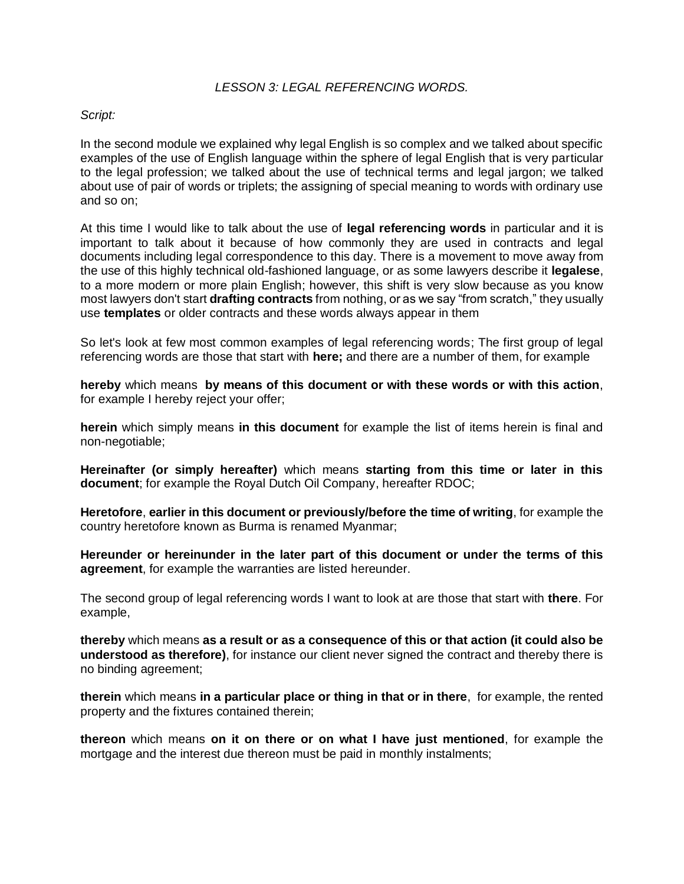## *LESSON 3: LEGAL REFERENCING WORDS.*

## *Script:*

In the second module we explained why legal English is so complex and we talked about specific examples of the use of English language within the sphere of legal English that is very particular to the legal profession; we talked about the use of technical terms and legal jargon; we talked about use of pair of words or triplets; the assigning of special meaning to words with ordinary use and so on;

At this time I would like to talk about the use of **legal referencing words** in particular and it is important to talk about it because of how commonly they are used in contracts and legal documents including legal correspondence to this day. There is a movement to move away from the use of this highly technical old-fashioned language, or as some lawyers describe it **legalese**, to a more modern or more plain English; however, this shift is very slow because as you know most lawyers don't start **drafting contracts** from nothing, or as we say "from scratch," they usually use **templates** or older contracts and these words always appear in them

So let's look at few most common examples of legal referencing words; The first group of legal referencing words are those that start with **here;** and there are a number of them, for example

**hereby** which means **by means of this document or with these words or with this action**, for example I hereby reject your offer;

**herein** which simply means **in this document** for example the list of items herein is final and non-negotiable;

**Hereinafter (or simply hereafter)** which means **starting from this time or later in this document**; for example the Royal Dutch Oil Company, hereafter RDOC;

**Heretofore**, **earlier in this document or previously/before the time of writing**, for example the country heretofore known as Burma is renamed Myanmar;

**Hereunder or hereinunder in the later part of this document or under the terms of this agreement**, for example the warranties are listed hereunder.

The second group of legal referencing words I want to look at are those that start with **there**. For example,

**thereby** which means **as a result or as a consequence of this or that action (it could also be understood as therefore)**, for instance our client never signed the contract and thereby there is no binding agreement;

**therein** which means **in a particular place or thing in that or in there**, for example, the rented property and the fixtures contained therein;

**thereon** which means **on it on there or on what I have just mentioned**, for example the mortgage and the interest due thereon must be paid in monthly instalments;